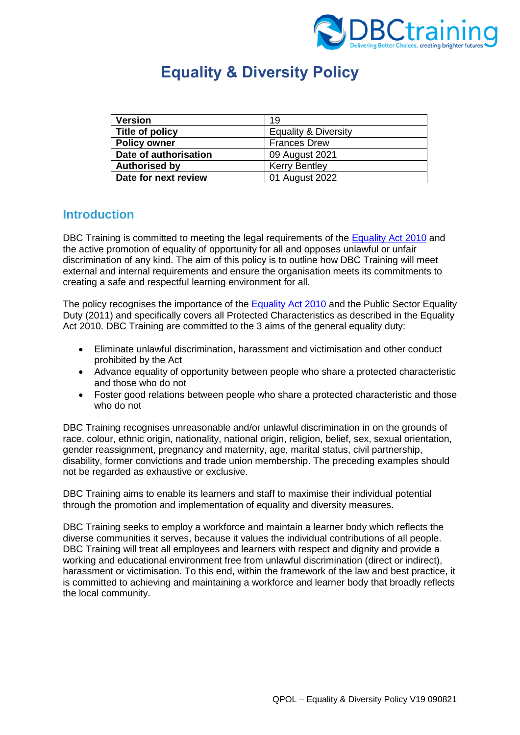

# **Equality & Diversity Policy**

| <b>Version</b>        | 19                              |
|-----------------------|---------------------------------|
| Title of policy       | <b>Equality &amp; Diversity</b> |
| <b>Policy owner</b>   | <b>Frances Drew</b>             |
| Date of authorisation | 09 August 2021                  |
| <b>Authorised by</b>  | <b>Kerry Bentley</b>            |
| Date for next review  | 01 August 2022                  |

### **Introduction**

DBC Training is committed to meeting the legal requirements of the [Equality Act 2010](https://www.legislation.gov.uk/ukpga/2010/15/contents) and the active promotion of equality of opportunity for all and opposes unlawful or unfair discrimination of any kind. The aim of this policy is to outline how DBC Training will meet external and internal requirements and ensure the organisation meets its commitments to creating a safe and respectful learning environment for all.

The policy recognises the importance of the [Equality Act 2010](https://www.legislation.gov.uk/ukpga/2010/15/contents) and the Public Sector Equality Duty (2011) and specifically covers all Protected Characteristics as described in the Equality Act 2010. DBC Training are committed to the 3 aims of the general equality duty:

- Eliminate unlawful discrimination, harassment and victimisation and other conduct prohibited by the Act
- Advance equality of opportunity between people who share a protected characteristic and those who do not
- Foster good relations between people who share a protected characteristic and those who do not

DBC Training recognises unreasonable and/or unlawful discrimination in on the grounds of race, colour, ethnic origin, nationality, national origin, religion, belief, sex, sexual orientation, gender reassignment, pregnancy and maternity, age, marital status, civil partnership, disability, former convictions and trade union membership. The preceding examples should not be regarded as exhaustive or exclusive.

DBC Training aims to enable its learners and staff to maximise their individual potential through the promotion and implementation of equality and diversity measures.

DBC Training seeks to employ a workforce and maintain a learner body which reflects the diverse communities it serves, because it values the individual contributions of all people. DBC Training will treat all employees and learners with respect and dignity and provide a working and educational environment free from unlawful discrimination (direct or indirect), harassment or victimisation. To this end, within the framework of the law and best practice, it is committed to achieving and maintaining a workforce and learner body that broadly reflects the local community.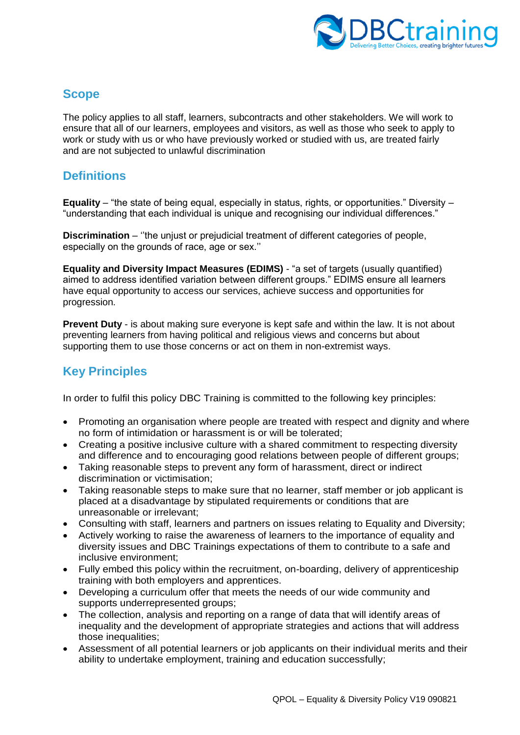

### **Scope**

The policy applies to all staff, learners, subcontracts and other stakeholders. We will work to ensure that all of our learners, employees and visitors, as well as those who seek to apply to work or study with us or who have previously worked or studied with us, are treated fairly and are not subjected to unlawful discrimination

### **Definitions**

**Equality** – "the state of being equal, especially in status, rights, or opportunities." Diversity – "understanding that each individual is unique and recognising our individual differences."

**Discrimination** – ''the unjust or prejudicial treatment of different categories of people, especially on the grounds of race, age or sex.''

**Equality and Diversity Impact Measures (EDIMS)** - "a set of targets (usually quantified) aimed to address identified variation between different groups." EDIMS ensure all learners have equal opportunity to access our services, achieve success and opportunities for progression.

**Prevent Duty** - is about making sure everyone is kept safe and within the law. It is not about preventing learners from having political and religious views and concerns but about supporting them to use those concerns or act on them in non-extremist ways.

# **Key Principles**

In order to fulfil this policy DBC Training is committed to the following key principles:

- Promoting an organisation where people are treated with respect and dignity and where no form of intimidation or harassment is or will be tolerated;
- Creating a positive inclusive culture with a shared commitment to respecting diversity and difference and to encouraging good relations between people of different groups;
- Taking reasonable steps to prevent any form of harassment, direct or indirect discrimination or victimisation;
- Taking reasonable steps to make sure that no learner, staff member or job applicant is placed at a disadvantage by stipulated requirements or conditions that are unreasonable or irrelevant;
- Consulting with staff, learners and partners on issues relating to Equality and Diversity;
- Actively working to raise the awareness of learners to the importance of equality and diversity issues and DBC Trainings expectations of them to contribute to a safe and inclusive environment;
- Fully embed this policy within the recruitment, on-boarding, delivery of apprenticeship training with both employers and apprentices.
- Developing a curriculum offer that meets the needs of our wide community and supports underrepresented groups;
- The collection, analysis and reporting on a range of data that will identify areas of inequality and the development of appropriate strategies and actions that will address those inequalities;
- Assessment of all potential learners or job applicants on their individual merits and their ability to undertake employment, training and education successfully;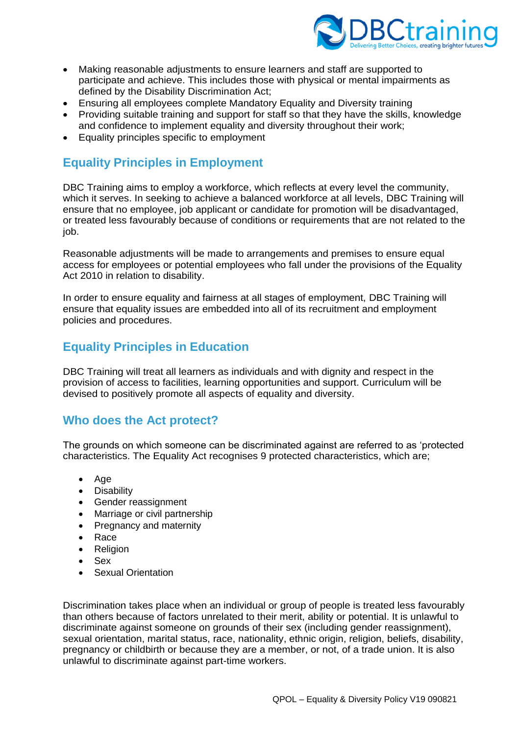

- Making reasonable adjustments to ensure learners and staff are supported to participate and achieve. This includes those with physical or mental impairments as defined by the Disability Discrimination Act;
- Ensuring all employees complete Mandatory Equality and Diversity training
- Providing suitable training and support for staff so that they have the skills, knowledge and confidence to implement equality and diversity throughout their work;
- Equality principles specific to employment

# **Equality Principles in Employment**

DBC Training aims to employ a workforce, which reflects at every level the community, which it serves. In seeking to achieve a balanced workforce at all levels, DBC Training will ensure that no employee, job applicant or candidate for promotion will be disadvantaged, or treated less favourably because of conditions or requirements that are not related to the job.

Reasonable adjustments will be made to arrangements and premises to ensure equal access for employees or potential employees who fall under the provisions of the Equality Act 2010 in relation to disability.

In order to ensure equality and fairness at all stages of employment, DBC Training will ensure that equality issues are embedded into all of its recruitment and employment policies and procedures.

### **Equality Principles in Education**

DBC Training will treat all learners as individuals and with dignity and respect in the provision of access to facilities, learning opportunities and support. Curriculum will be devised to positively promote all aspects of equality and diversity.

### **Who does the Act protect?**

The grounds on which someone can be discriminated against are referred to as 'protected characteristics. The Equality Act recognises 9 protected characteristics, which are;

- Age
- Disability
- Gender reassignment
- Marriage or civil partnership
- Pregnancy and maternity
- Race
- Religion
- Sex
- **Sexual Orientation**

Discrimination takes place when an individual or group of people is treated less favourably than others because of factors unrelated to their merit, ability or potential. It is unlawful to discriminate against someone on grounds of their sex (including gender reassignment), sexual orientation, marital status, race, nationality, ethnic origin, religion, beliefs, disability, pregnancy or childbirth or because they are a member, or not, of a trade union. It is also unlawful to discriminate against part-time workers.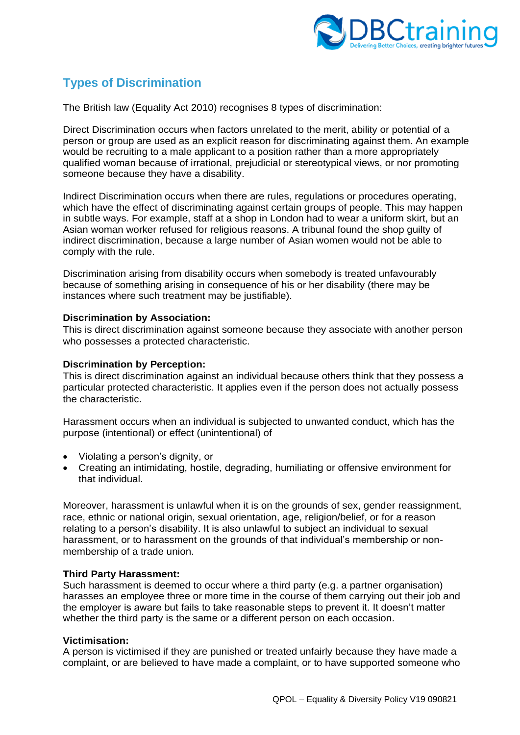

# **Types of Discrimination**

The British law (Equality Act 2010) recognises 8 types of discrimination:

Direct Discrimination occurs when factors unrelated to the merit, ability or potential of a person or group are used as an explicit reason for discriminating against them. An example would be recruiting to a male applicant to a position rather than a more appropriately qualified woman because of irrational, prejudicial or stereotypical views, or nor promoting someone because they have a disability.

Indirect Discrimination occurs when there are rules, regulations or procedures operating, which have the effect of discriminating against certain groups of people. This may happen in subtle ways. For example, staff at a shop in London had to wear a uniform skirt, but an Asian woman worker refused for religious reasons. A tribunal found the shop guilty of indirect discrimination, because a large number of Asian women would not be able to comply with the rule.

Discrimination arising from disability occurs when somebody is treated unfavourably because of something arising in consequence of his or her disability (there may be instances where such treatment may be justifiable).

#### **Discrimination by Association:**

This is direct discrimination against someone because they associate with another person who possesses a protected characteristic.

#### **Discrimination by Perception:**

This is direct discrimination against an individual because others think that they possess a particular protected characteristic. It applies even if the person does not actually possess the characteristic.

Harassment occurs when an individual is subjected to unwanted conduct, which has the purpose (intentional) or effect (unintentional) of

- Violating a person's dignity, or
- Creating an intimidating, hostile, degrading, humiliating or offensive environment for that individual.

Moreover, harassment is unlawful when it is on the grounds of sex, gender reassignment, race, ethnic or national origin, sexual orientation, age, religion/belief, or for a reason relating to a person's disability. It is also unlawful to subject an individual to sexual harassment, or to harassment on the grounds of that individual's membership or nonmembership of a trade union.

#### **Third Party Harassment:**

Such harassment is deemed to occur where a third party (e.g. a partner organisation) harasses an employee three or more time in the course of them carrying out their job and the employer is aware but fails to take reasonable steps to prevent it. It doesn't matter whether the third party is the same or a different person on each occasion.

#### **Victimisation:**

A person is victimised if they are punished or treated unfairly because they have made a complaint, or are believed to have made a complaint, or to have supported someone who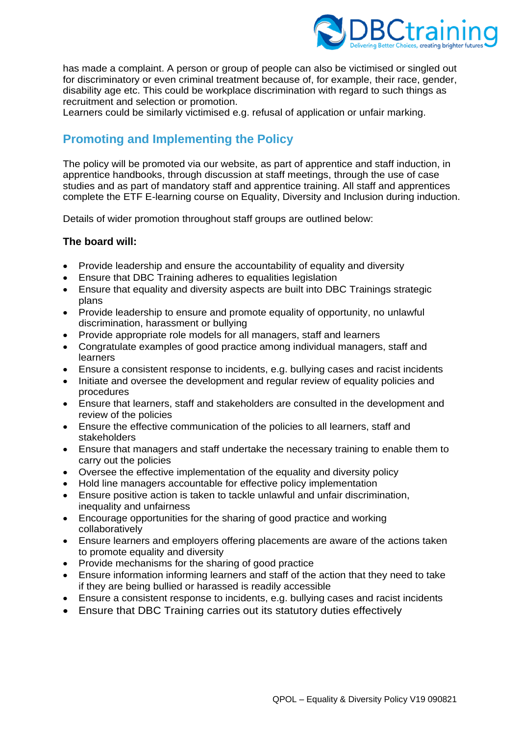

has made a complaint. A person or group of people can also be victimised or singled out for discriminatory or even criminal treatment because of, for example, their race, gender, disability age etc. This could be workplace discrimination with regard to such things as recruitment and selection or promotion.

Learners could be similarly victimised e.g. refusal of application or unfair marking.

# **Promoting and Implementing the Policy**

The policy will be promoted via our website, as part of apprentice and staff induction, in apprentice handbooks, through discussion at staff meetings, through the use of case studies and as part of mandatory staff and apprentice training. All staff and apprentices complete the ETF E-learning course on Equality, Diversity and Inclusion during induction.

Details of wider promotion throughout staff groups are outlined below:

### **The board will:**

- Provide leadership and ensure the accountability of equality and diversity
- Ensure that DBC Training adheres to equalities legislation
- Ensure that equality and diversity aspects are built into DBC Trainings strategic plans
- Provide leadership to ensure and promote equality of opportunity, no unlawful discrimination, harassment or bullying
- Provide appropriate role models for all managers, staff and learners
- Congratulate examples of good practice among individual managers, staff and learners
- Ensure a consistent response to incidents, e.g. bullying cases and racist incidents
- Initiate and oversee the development and regular review of equality policies and procedures
- Ensure that learners, staff and stakeholders are consulted in the development and review of the policies
- Ensure the effective communication of the policies to all learners, staff and stakeholders
- Ensure that managers and staff undertake the necessary training to enable them to carry out the policies
- Oversee the effective implementation of the equality and diversity policy
- Hold line managers accountable for effective policy implementation
- Ensure positive action is taken to tackle unlawful and unfair discrimination, inequality and unfairness
- Encourage opportunities for the sharing of good practice and working collaboratively
- Ensure learners and employers offering placements are aware of the actions taken to promote equality and diversity
- Provide mechanisms for the sharing of good practice
- Ensure information informing learners and staff of the action that they need to take if they are being bullied or harassed is readily accessible
- Ensure a consistent response to incidents, e.g. bullying cases and racist incidents
- Ensure that DBC Training carries out its statutory duties effectively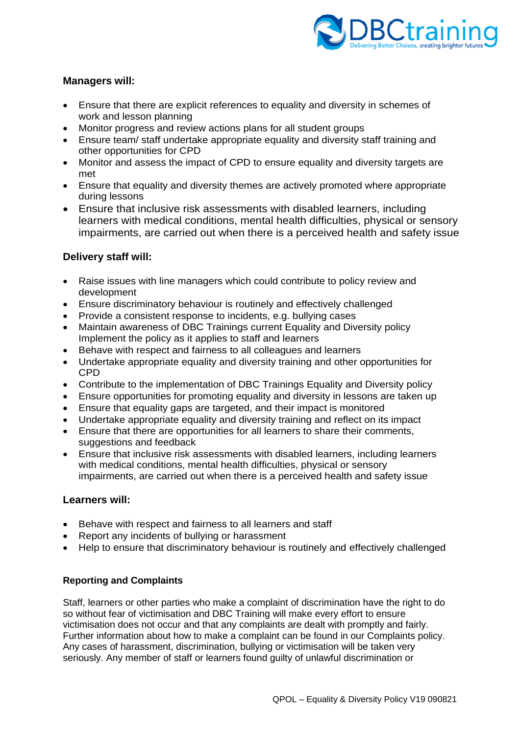

### **Managers will:**

- Ensure that there are explicit references to equality and diversity in schemes of work and lesson planning
- Monitor progress and review actions plans for all student groups
- Ensure team/ staff undertake appropriate equality and diversity staff training and other opportunities for CPD
- Monitor and assess the impact of CPD to ensure equality and diversity targets are met
- Ensure that equality and diversity themes are actively promoted where appropriate during lessons
- Ensure that inclusive risk assessments with disabled learners, including learners with medical conditions, mental health difficulties, physical or sensory impairments, are carried out when there is a perceived health and safety issue

### **Delivery staff will:**

- Raise issues with line managers which could contribute to policy review and development
- Ensure discriminatory behaviour is routinely and effectively challenged
- Provide a consistent response to incidents, e.g. bullying cases
- Maintain awareness of DBC Trainings current Equality and Diversity policy Implement the policy as it applies to staff and learners
- Behave with respect and fairness to all colleagues and learners
- Undertake appropriate equality and diversity training and other opportunities for CPD
- Contribute to the implementation of DBC Trainings Equality and Diversity policy
- Ensure opportunities for promoting equality and diversity in lessons are taken up
- Ensure that equality gaps are targeted, and their impact is monitored
- Undertake appropriate equality and diversity training and reflect on its impact
- Ensure that there are opportunities for all learners to share their comments, suggestions and feedback
- Ensure that inclusive risk assessments with disabled learners, including learners with medical conditions, mental health difficulties, physical or sensory impairments, are carried out when there is a perceived health and safety issue

#### **Learners will:**

- Behave with respect and fairness to all learners and staff
- Report any incidents of bullying or harassment
- Help to ensure that discriminatory behaviour is routinely and effectively challenged

#### **Reporting and Complaints**

Staff, learners or other parties who make a complaint of discrimination have the right to do so without fear of victimisation and DBC Training will make every effort to ensure victimisation does not occur and that any complaints are dealt with promptly and fairly. Further information about how to make a complaint can be found in our Complaints policy. Any cases of harassment, discrimination, bullying or victimisation will be taken very seriously. Any member of staff or learners found guilty of unlawful discrimination or